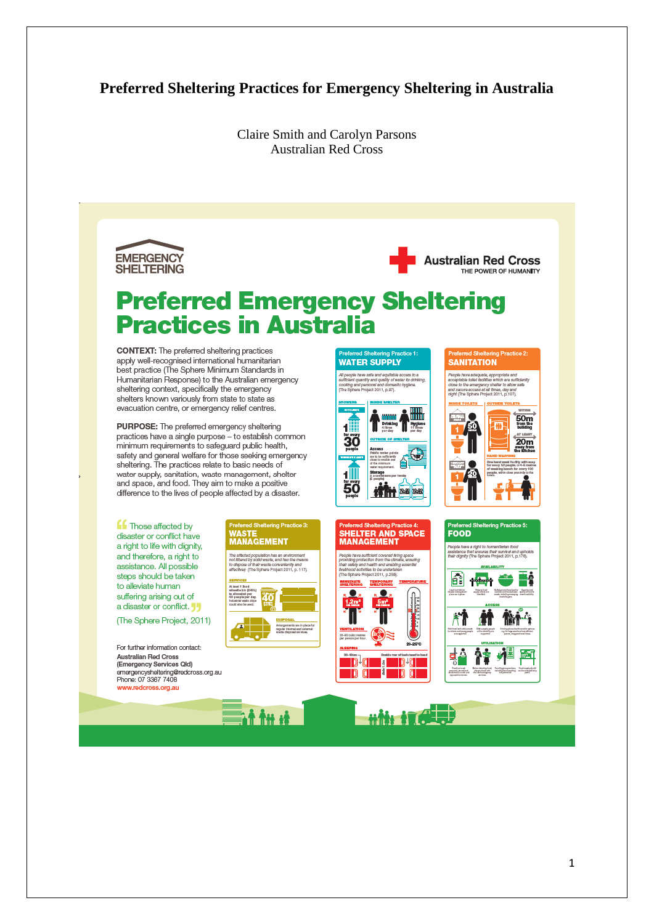# **Preferred Sheltering Practices for Emergency Sheltering in Australia**

Claire Smith and Carolyn Parsons Australian Red Cross





# **Preferred Emergency Sheltering Practices in Australia**

**CONTEXT:** The preferred sheltering practices apply well-recognised international humanitarian best practice (The Sphere Minimum Standards in Humanitarian Response) to the Australian emergency sheltering context, specifically the emergency shelters known variously from state to state as evacuation centre, or emergency relief centres.

PURPOSE: The preferred emergency sheltering practices have a single purpose - to establish common minimum requirements to safeguard public health, safety and general welfare for those seeking emergency sheltering. The practices relate to basic needs of water supply, sanitation, waste management, shelter and space, and food. They aim to make a positive difference to the lives of people affected by a disaster.

**ff** Those affected by disaster or conflict have a right to life with dignity, and therefore, a right to assistance. All possible steps should be taken to alleviate human suffering arising out of a disaster or conflict.

(The Sphere Project, 2011)

For further information contact: Australian Red Cross Australian Hed Cross<br>(Emergency Services Qld)<br>emergencysheltering@redcross.org.au Phone: 07 3367 7408 www.redcross.org.au



.<br>All people have safe and equitable access to a<br>sufficient quantity and quality of water for drink oooking<br>(The Sp 鼺

**WATER SUPPLY** 



**HELTER AND SPACE** 

iva sufficient covarad living space<br>protection from the climate, ensu

 $\frac{1}{2}$  D<sup>+</sup>C  $\frac{1}{2}$ 

 $\blacksquare$ 

**MANAGEMENT** 



**SANITATION** 









at the it

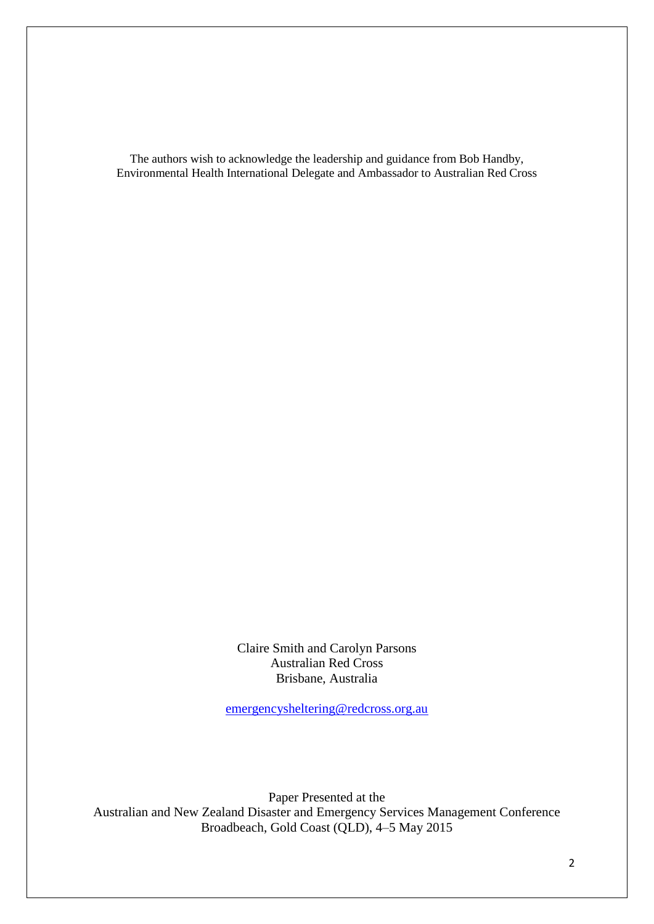The authors wish to acknowledge the leadership and guidance from Bob Handby, Environmental Health International Delegate and Ambassador to Australian Red Cross

> Claire Smith and Carolyn Parsons Australian Red Cross Brisbane, Australia

[emergencysheltering@redcross.org.au](mailto:emergencysheltering@redcross.org.au)

Paper Presented at the Australian and New Zealand Disaster and Emergency Services Management Conference Broadbeach, Gold Coast (QLD), 4–5 May 2015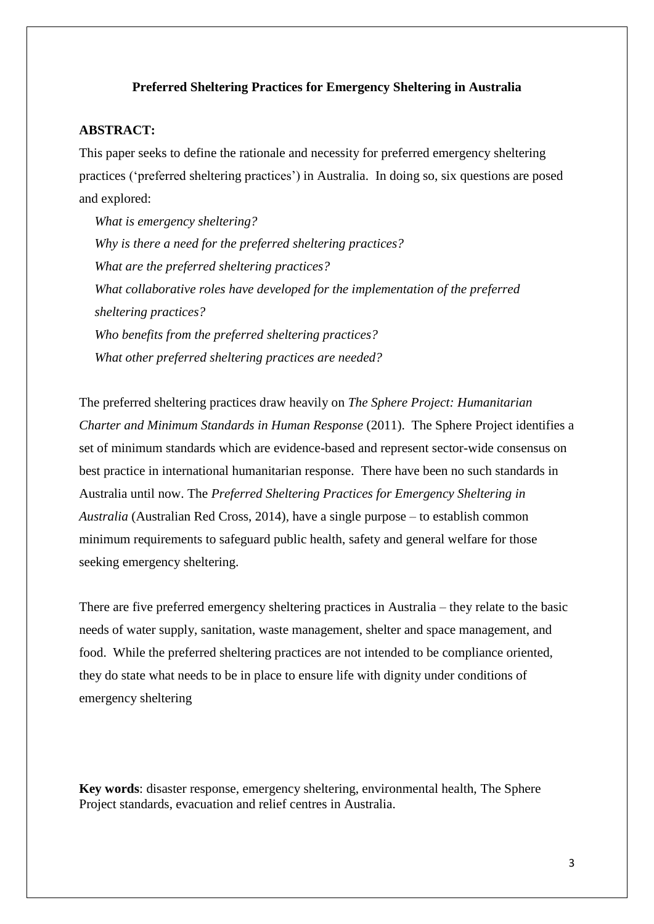### **Preferred Sheltering Practices for Emergency Sheltering in Australia**

### **ABSTRACT:**

This paper seeks to define the rationale and necessity for preferred emergency sheltering practices ('preferred sheltering practices') in Australia. In doing so, six questions are posed and explored:

*What is emergency sheltering? Why is there a need for the preferred sheltering practices? What are the preferred sheltering practices? What collaborative roles have developed for the implementation of the preferred sheltering practices? Who benefits from the preferred sheltering practices? What other preferred sheltering practices are needed?*

The preferred sheltering practices draw heavily on *The Sphere Project: Humanitarian Charter and Minimum Standards in Human Response* (2011). The Sphere Project identifies a set of minimum standards which are evidence-based and represent sector-wide consensus on best practice in international humanitarian response. There have been no such standards in Australia until now. The *Preferred Sheltering Practices for Emergency Sheltering in Australia* (Australian Red Cross, 2014)*,* have a single purpose – to establish common minimum requirements to safeguard public health, safety and general welfare for those seeking emergency sheltering.

There are five preferred emergency sheltering practices in Australia – they relate to the basic needs of water supply, sanitation, waste management, shelter and space management, and food. While the preferred sheltering practices are not intended to be compliance oriented, they do state what needs to be in place to ensure life with dignity under conditions of emergency sheltering

**Key words**: disaster response, emergency sheltering, environmental health, The Sphere Project standards, evacuation and relief centres in Australia.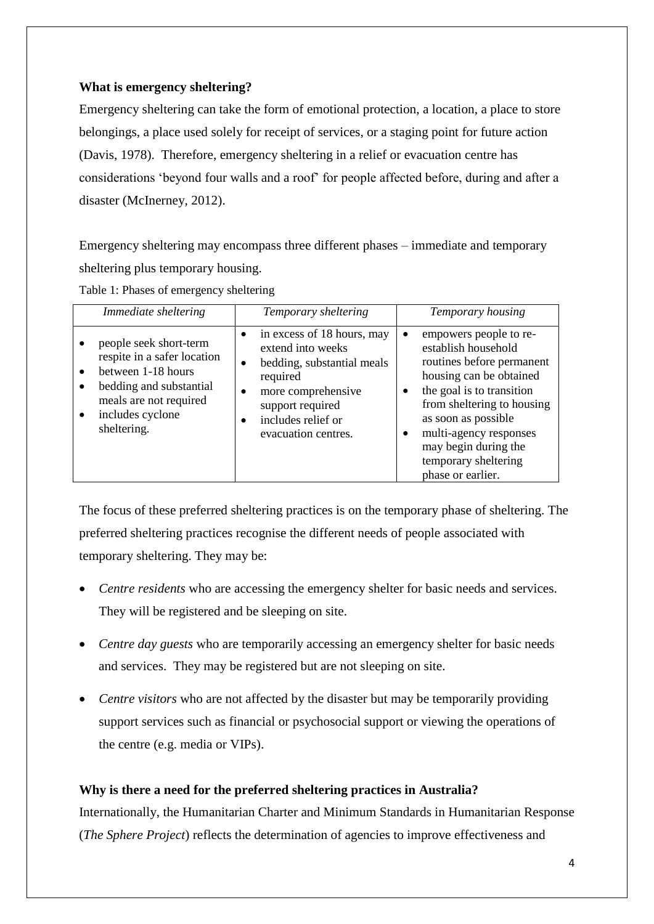### **What is emergency sheltering?**

Emergency sheltering can take the form of emotional protection, a location, a place to store belongings, a place used solely for receipt of services, or a staging point for future action (Davis, 1978). Therefore, emergency sheltering in a relief or evacuation centre has considerations 'beyond four walls and a roof' for people affected before, during and after a disaster (McInerney, 2012).

Emergency sheltering may encompass three different phases – immediate and temporary sheltering plus temporary housing.

|  |  |  |  | Table 1: Phases of emergency sheltering |  |
|--|--|--|--|-----------------------------------------|--|
|--|--|--|--|-----------------------------------------|--|

| Immediate sheltering                                                                                                                                                             | Temporary sheltering                                                                                                                                                             | Temporary housing                                                                                                                                                                                                                                                                                |
|----------------------------------------------------------------------------------------------------------------------------------------------------------------------------------|----------------------------------------------------------------------------------------------------------------------------------------------------------------------------------|--------------------------------------------------------------------------------------------------------------------------------------------------------------------------------------------------------------------------------------------------------------------------------------------------|
| people seek short-term<br>respite in a safer location<br>between 1-18 hours<br>bedding and substantial<br>meals are not required<br>includes cyclone<br>$\bullet$<br>sheltering. | in excess of 18 hours, may<br>extend into weeks<br>bedding, substantial meals<br>required<br>more comprehensive<br>support required<br>includes relief or<br>evacuation centres. | empowers people to re-<br>establish household<br>routines before permanent<br>housing can be obtained<br>the goal is to transition<br>٠<br>from sheltering to housing<br>as soon as possible<br>multi-agency responses<br>٠<br>may begin during the<br>temporary sheltering<br>phase or earlier. |

The focus of these preferred sheltering practices is on the temporary phase of sheltering. The preferred sheltering practices recognise the different needs of people associated with temporary sheltering. They may be:

- *Centre residents* who are accessing the emergency shelter for basic needs and services. They will be registered and be sleeping on site.
- *Centre day guests* who are temporarily accessing an emergency shelter for basic needs and services. They may be registered but are not sleeping on site.
- *Centre visitors* who are not affected by the disaster but may be temporarily providing support services such as financial or psychosocial support or viewing the operations of the centre (e.g. media or VIPs).

## **Why is there a need for the preferred sheltering practices in Australia?**

Internationally, the Humanitarian Charter and Minimum Standards in Humanitarian Response (*The Sphere Project*) reflects the determination of agencies to improve effectiveness and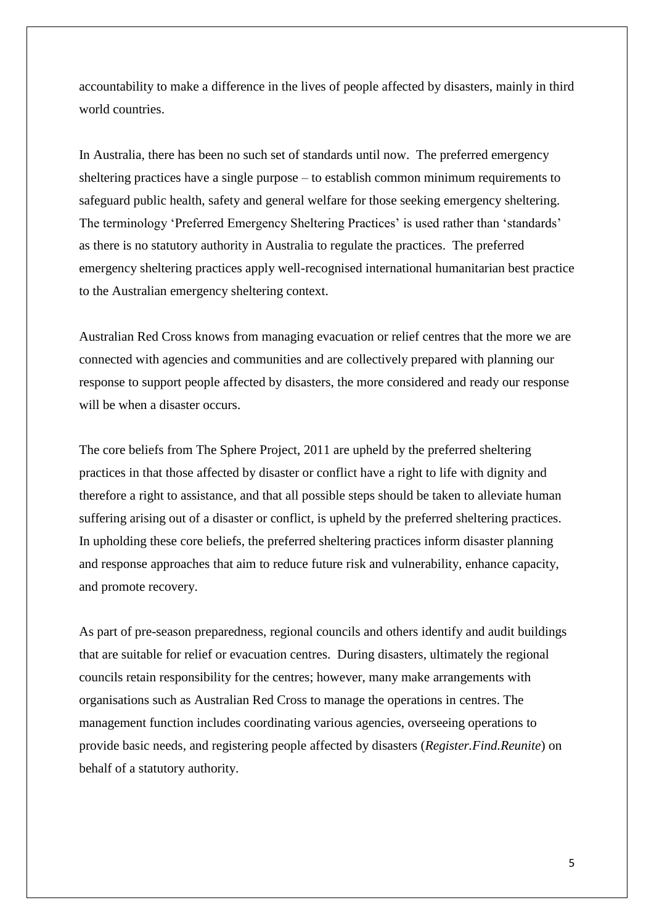accountability to make a difference in the lives of people affected by disasters, mainly in third world countries.

In Australia, there has been no such set of standards until now. The preferred emergency sheltering practices have a single purpose – to establish common minimum requirements to safeguard public health, safety and general welfare for those seeking emergency sheltering. The terminology 'Preferred Emergency Sheltering Practices' is used rather than 'standards' as there is no statutory authority in Australia to regulate the practices. The preferred emergency sheltering practices apply well-recognised international humanitarian best practice to the Australian emergency sheltering context.

Australian Red Cross knows from managing evacuation or relief centres that the more we are connected with agencies and communities and are collectively prepared with planning our response to support people affected by disasters, the more considered and ready our response will be when a disaster occurs.

The core beliefs from The Sphere Project, 2011 are upheld by the preferred sheltering practices in that those affected by disaster or conflict have a right to life with dignity and therefore a right to assistance, and that all possible steps should be taken to alleviate human suffering arising out of a disaster or conflict, is upheld by the preferred sheltering practices. In upholding these core beliefs, the preferred sheltering practices inform disaster planning and response approaches that aim to reduce future risk and vulnerability, enhance capacity, and promote recovery.

As part of pre-season preparedness, regional councils and others identify and audit buildings that are suitable for relief or evacuation centres. During disasters, ultimately the regional councils retain responsibility for the centres; however, many make arrangements with organisations such as Australian Red Cross to manage the operations in centres. The management function includes coordinating various agencies, overseeing operations to provide basic needs, and registering people affected by disasters (*Register.Find.Reunite*) on behalf of a statutory authority.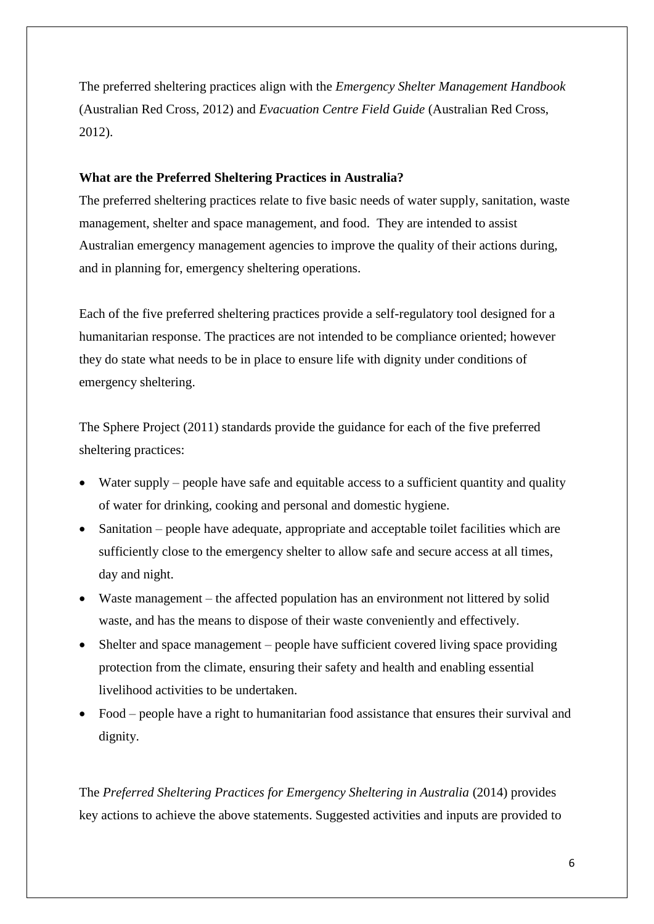The preferred sheltering practices align with the *Emergency Shelter Management Handbook* (Australian Red Cross, 2012) and *Evacuation Centre Field Guide* (Australian Red Cross, 2012).

### **What are the Preferred Sheltering Practices in Australia?**

The preferred sheltering practices relate to five basic needs of water supply, sanitation, waste management, shelter and space management, and food. They are intended to assist Australian emergency management agencies to improve the quality of their actions during, and in planning for, emergency sheltering operations.

Each of the five preferred sheltering practices provide a self-regulatory tool designed for a humanitarian response. The practices are not intended to be compliance oriented; however they do state what needs to be in place to ensure life with dignity under conditions of emergency sheltering.

The Sphere Project (2011) standards provide the guidance for each of the five preferred sheltering practices:

- Water supply people have safe and equitable access to a sufficient quantity and quality of water for drinking, cooking and personal and domestic hygiene.
- Sanitation people have adequate, appropriate and acceptable toilet facilities which are sufficiently close to the emergency shelter to allow safe and secure access at all times, day and night.
- Waste management the affected population has an environment not littered by solid waste, and has the means to dispose of their waste conveniently and effectively.
- Shelter and space management people have sufficient covered living space providing protection from the climate, ensuring their safety and health and enabling essential livelihood activities to be undertaken.
- Food people have a right to humanitarian food assistance that ensures their survival and dignity.

The *Preferred Sheltering Practices for Emergency Sheltering in Australia* (2014) provides key actions to achieve the above statements. Suggested activities and inputs are provided to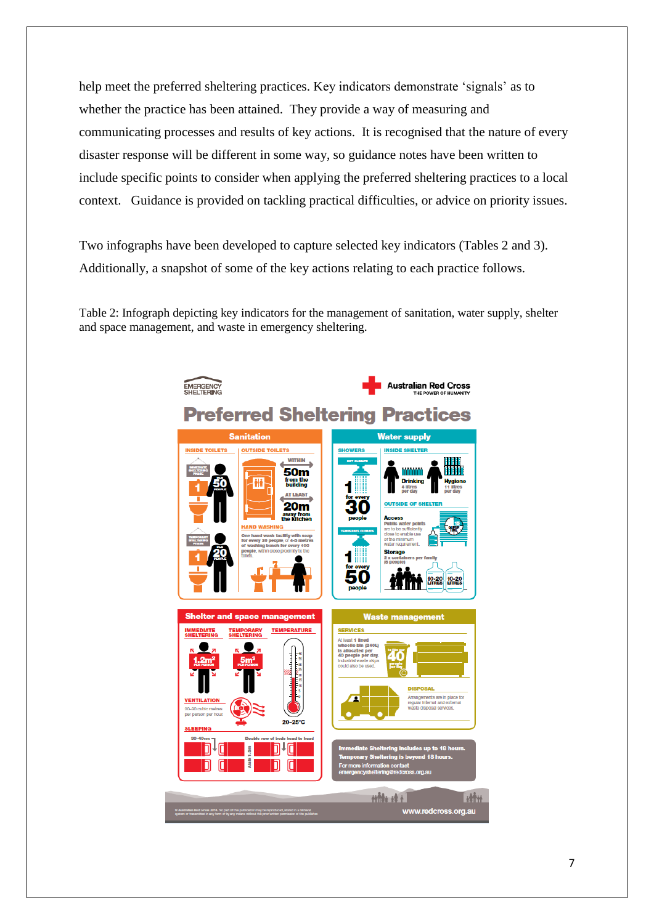help meet the preferred sheltering practices. Key indicators demonstrate 'signals' as to whether the practice has been attained. They provide a way of measuring and communicating processes and results of key actions. It is recognised that the nature of every disaster response will be different in some way, so guidance notes have been written to include specific points to consider when applying the preferred sheltering practices to a local context. Guidance is provided on tackling practical difficulties, or advice on priority issues.

Two infographs have been developed to capture selected key indicators (Tables 2 and 3). Additionally, a snapshot of some of the key actions relating to each practice follows.

Table 2: Infograph depicting key indicators for the management of sanitation, water supply, shelter and space management, and waste in emergency sheltering.

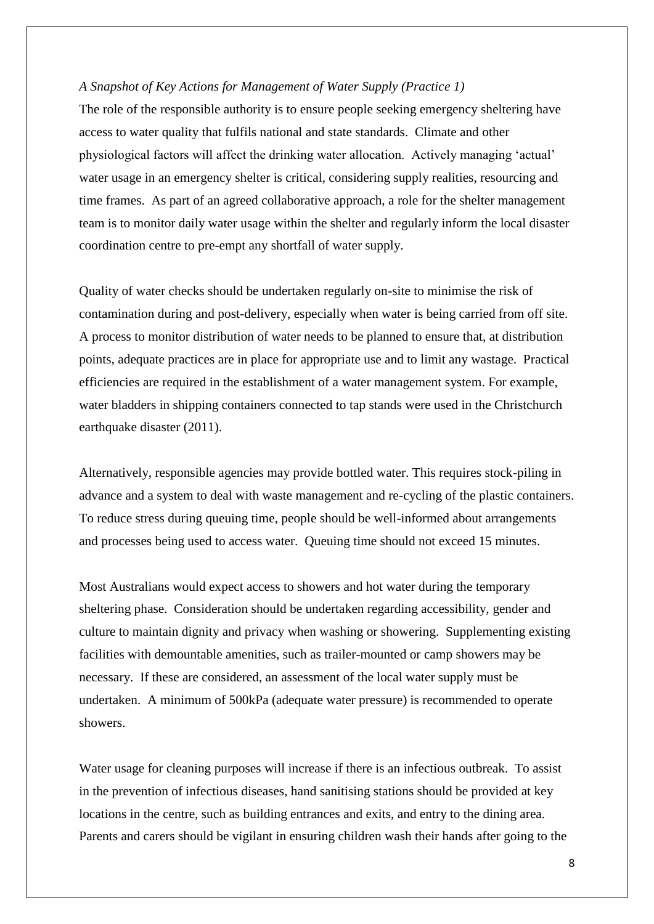### *A Snapshot of Key Actions for Management of Water Supply (Practice 1)*

The role of the responsible authority is to ensure people seeking emergency sheltering have access to water quality that fulfils national and state standards. Climate and other physiological factors will affect the drinking water allocation. Actively managing 'actual' water usage in an emergency shelter is critical, considering supply realities, resourcing and time frames. As part of an agreed collaborative approach, a role for the shelter management team is to monitor daily water usage within the shelter and regularly inform the local disaster coordination centre to pre-empt any shortfall of water supply.

Quality of water checks should be undertaken regularly on-site to minimise the risk of contamination during and post-delivery, especially when water is being carried from off site. A process to monitor distribution of water needs to be planned to ensure that, at distribution points, adequate practices are in place for appropriate use and to limit any wastage. Practical efficiencies are required in the establishment of a water management system. For example, water bladders in shipping containers connected to tap stands were used in the Christchurch earthquake disaster (2011).

Alternatively, responsible agencies may provide bottled water. This requires stock-piling in advance and a system to deal with waste management and re-cycling of the plastic containers. To reduce stress during queuing time, people should be well-informed about arrangements and processes being used to access water. Queuing time should not exceed 15 minutes.

Most Australians would expect access to showers and hot water during the temporary sheltering phase. Consideration should be undertaken regarding accessibility, gender and culture to maintain dignity and privacy when washing or showering. Supplementing existing facilities with demountable amenities, such as trailer-mounted or camp showers may be necessary. If these are considered, an assessment of the local water supply must be undertaken. A minimum of 500kPa (adequate water pressure) is recommended to operate showers.

Water usage for cleaning purposes will increase if there is an infectious outbreak. To assist in the prevention of infectious diseases, hand sanitising stations should be provided at key locations in the centre, such as building entrances and exits, and entry to the dining area. Parents and carers should be vigilant in ensuring children wash their hands after going to the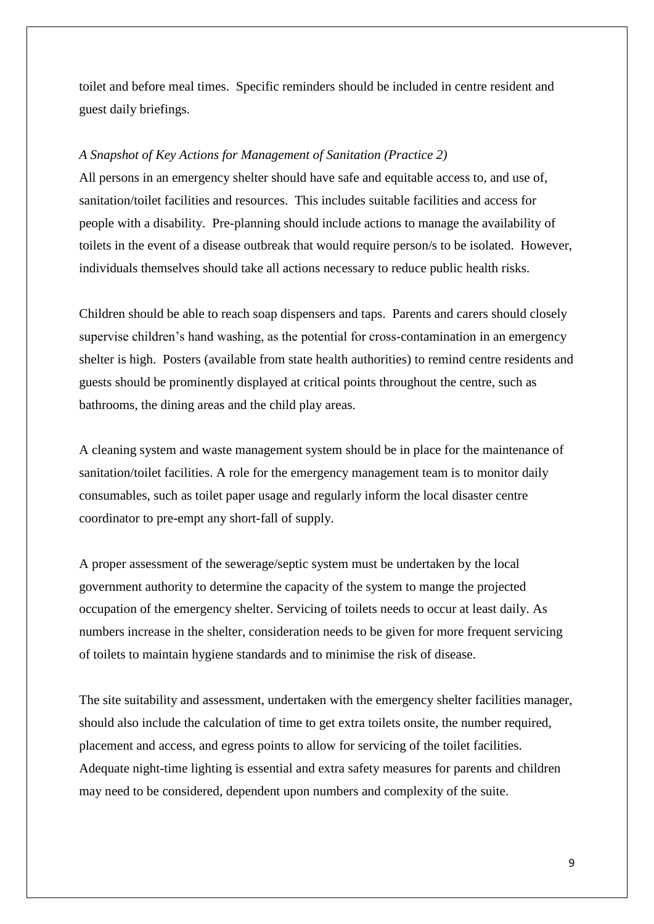toilet and before meal times. Specific reminders should be included in centre resident and guest daily briefings.

### *A Snapshot of Key Actions for Management of Sanitation (Practice 2)*

All persons in an emergency shelter should have safe and equitable access to, and use of, sanitation/toilet facilities and resources. This includes suitable facilities and access for people with a disability. Pre-planning should include actions to manage the availability of toilets in the event of a disease outbreak that would require person/s to be isolated. However, individuals themselves should take all actions necessary to reduce public health risks.

Children should be able to reach soap dispensers and taps. Parents and carers should closely supervise children's hand washing, as the potential for cross-contamination in an emergency shelter is high. Posters (available from state health authorities) to remind centre residents and guests should be prominently displayed at critical points throughout the centre, such as bathrooms, the dining areas and the child play areas.

A cleaning system and waste management system should be in place for the maintenance of sanitation/toilet facilities. A role for the emergency management team is to monitor daily consumables, such as toilet paper usage and regularly inform the local disaster centre coordinator to pre-empt any short-fall of supply.

A proper assessment of the sewerage/septic system must be undertaken by the local government authority to determine the capacity of the system to mange the projected occupation of the emergency shelter. Servicing of toilets needs to occur at least daily. As numbers increase in the shelter, consideration needs to be given for more frequent servicing of toilets to maintain hygiene standards and to minimise the risk of disease.

The site suitability and assessment, undertaken with the emergency shelter facilities manager, should also include the calculation of time to get extra toilets onsite, the number required, placement and access, and egress points to allow for servicing of the toilet facilities. Adequate night-time lighting is essential and extra safety measures for parents and children may need to be considered, dependent upon numbers and complexity of the suite.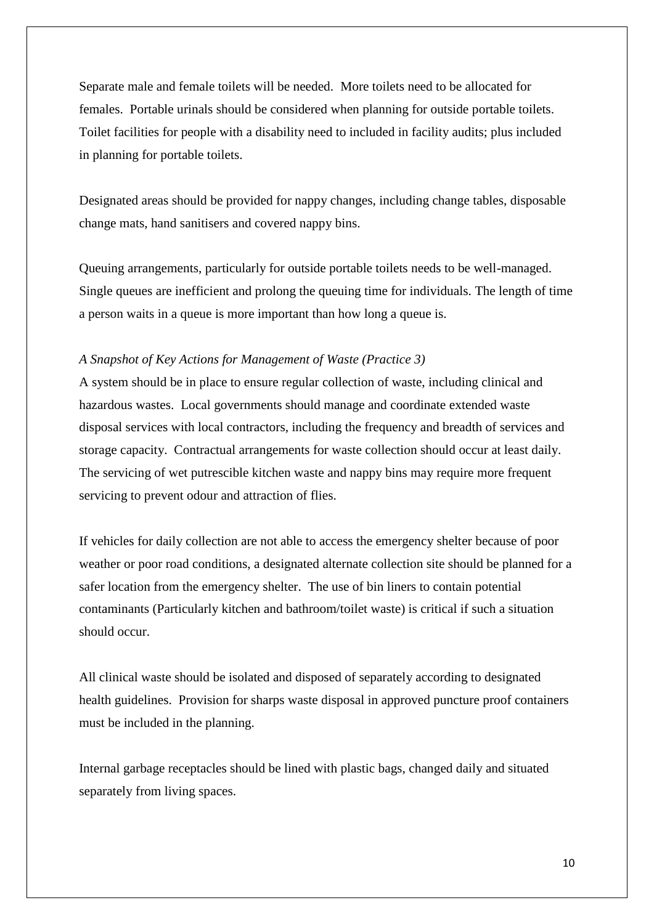Separate male and female toilets will be needed. More toilets need to be allocated for females. Portable urinals should be considered when planning for outside portable toilets. Toilet facilities for people with a disability need to included in facility audits; plus included in planning for portable toilets.

Designated areas should be provided for nappy changes, including change tables, disposable change mats, hand sanitisers and covered nappy bins.

Queuing arrangements, particularly for outside portable toilets needs to be well-managed. Single queues are inefficient and prolong the queuing time for individuals. The length of time a person waits in a queue is more important than how long a queue is.

### *A Snapshot of Key Actions for Management of Waste (Practice 3)*

A system should be in place to ensure regular collection of waste, including clinical and hazardous wastes. Local governments should manage and coordinate extended waste disposal services with local contractors, including the frequency and breadth of services and storage capacity. Contractual arrangements for waste collection should occur at least daily. The servicing of wet putrescible kitchen waste and nappy bins may require more frequent servicing to prevent odour and attraction of flies.

If vehicles for daily collection are not able to access the emergency shelter because of poor weather or poor road conditions, a designated alternate collection site should be planned for a safer location from the emergency shelter. The use of bin liners to contain potential contaminants (Particularly kitchen and bathroom/toilet waste) is critical if such a situation should occur.

All clinical waste should be isolated and disposed of separately according to designated health guidelines. Provision for sharps waste disposal in approved puncture proof containers must be included in the planning.

Internal garbage receptacles should be lined with plastic bags, changed daily and situated separately from living spaces.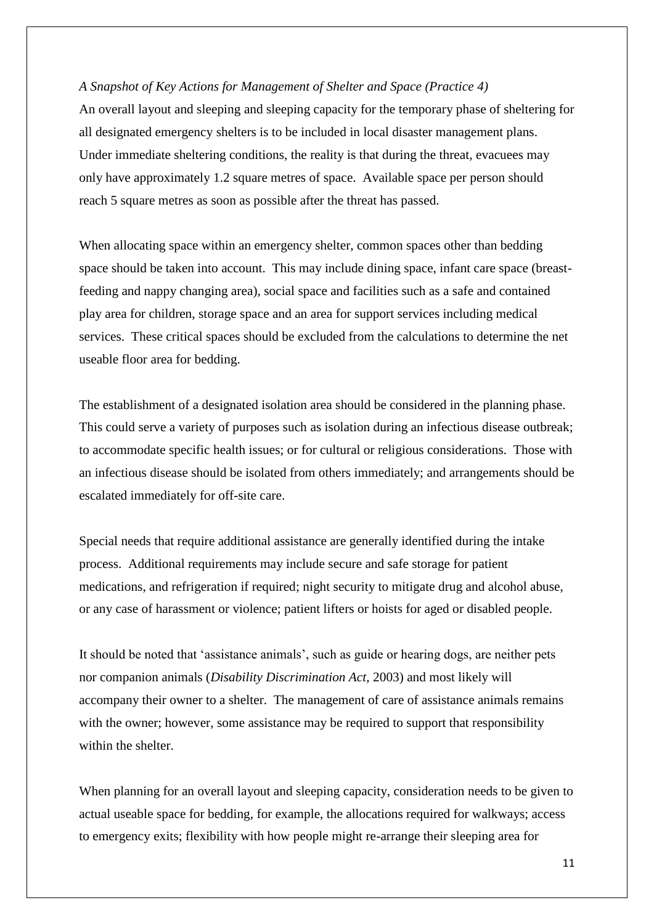*A Snapshot of Key Actions for Management of Shelter and Space (Practice 4)*

An overall layout and sleeping and sleeping capacity for the temporary phase of sheltering for all designated emergency shelters is to be included in local disaster management plans. Under immediate sheltering conditions, the reality is that during the threat, evacuees may only have approximately 1.2 square metres of space. Available space per person should reach 5 square metres as soon as possible after the threat has passed.

When allocating space within an emergency shelter, common spaces other than bedding space should be taken into account. This may include dining space, infant care space (breastfeeding and nappy changing area), social space and facilities such as a safe and contained play area for children, storage space and an area for support services including medical services. These critical spaces should be excluded from the calculations to determine the net useable floor area for bedding.

The establishment of a designated isolation area should be considered in the planning phase. This could serve a variety of purposes such as isolation during an infectious disease outbreak; to accommodate specific health issues; or for cultural or religious considerations. Those with an infectious disease should be isolated from others immediately; and arrangements should be escalated immediately for off-site care.

Special needs that require additional assistance are generally identified during the intake process. Additional requirements may include secure and safe storage for patient medications, and refrigeration if required; night security to mitigate drug and alcohol abuse, or any case of harassment or violence; patient lifters or hoists for aged or disabled people.

It should be noted that 'assistance animals', such as guide or hearing dogs, are neither pets nor companion animals (*Disability Discrimination Act*, 2003) and most likely will accompany their owner to a shelter. The management of care of assistance animals remains with the owner; however, some assistance may be required to support that responsibility within the shelter.

When planning for an overall layout and sleeping capacity, consideration needs to be given to actual useable space for bedding, for example, the allocations required for walkways; access to emergency exits; flexibility with how people might re-arrange their sleeping area for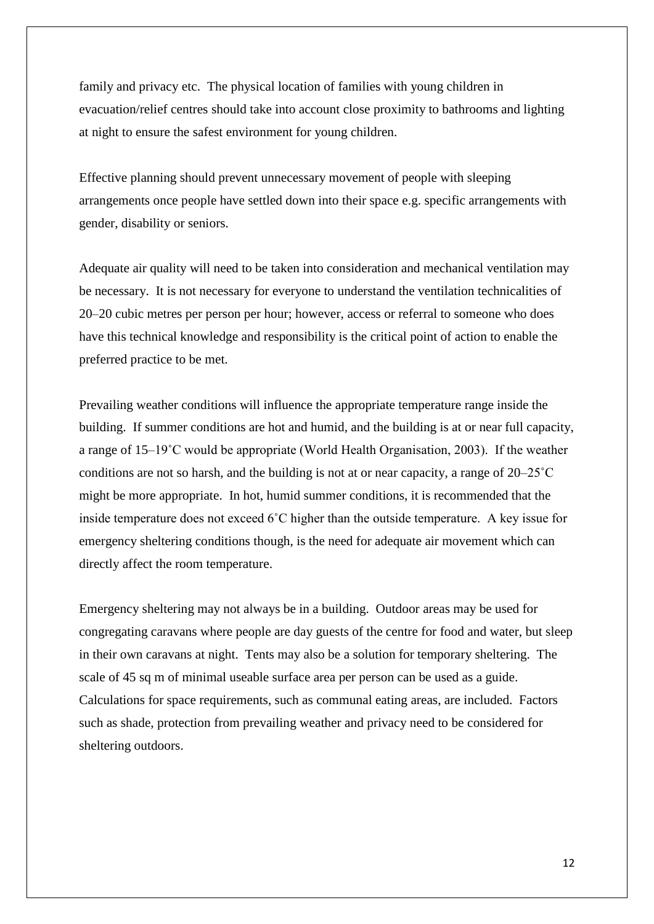family and privacy etc. The physical location of families with young children in evacuation/relief centres should take into account close proximity to bathrooms and lighting at night to ensure the safest environment for young children.

Effective planning should prevent unnecessary movement of people with sleeping arrangements once people have settled down into their space e.g. specific arrangements with gender, disability or seniors.

Adequate air quality will need to be taken into consideration and mechanical ventilation may be necessary. It is not necessary for everyone to understand the ventilation technicalities of 20–20 cubic metres per person per hour; however, access or referral to someone who does have this technical knowledge and responsibility is the critical point of action to enable the preferred practice to be met.

Prevailing weather conditions will influence the appropriate temperature range inside the building. If summer conditions are hot and humid, and the building is at or near full capacity, a range of 15–19˚C would be appropriate (World Health Organisation, 2003). If the weather conditions are not so harsh, and the building is not at or near capacity, a range of 20–25˚C might be more appropriate. In hot, humid summer conditions, it is recommended that the inside temperature does not exceed 6˚C higher than the outside temperature. A key issue for emergency sheltering conditions though, is the need for adequate air movement which can directly affect the room temperature.

Emergency sheltering may not always be in a building. Outdoor areas may be used for congregating caravans where people are day guests of the centre for food and water, but sleep in their own caravans at night. Tents may also be a solution for temporary sheltering. The scale of 45 sq m of minimal useable surface area per person can be used as a guide. Calculations for space requirements, such as communal eating areas, are included. Factors such as shade, protection from prevailing weather and privacy need to be considered for sheltering outdoors.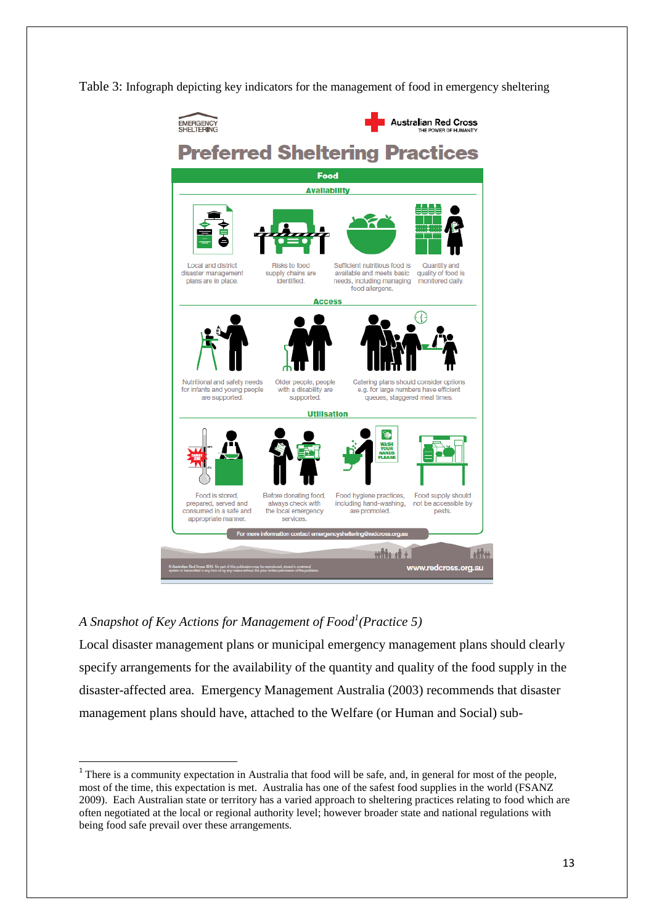Table 3: Infograph depicting key indicators for the management of food in emergency sheltering



# *A Snapshot of Key Actions for Management of Food<sup>1</sup> (Practice 5)*

 $\overline{\phantom{a}}$ 

Local disaster management plans or municipal emergency management plans should clearly specify arrangements for the availability of the quantity and quality of the food supply in the disaster-affected area. Emergency Management Australia (2003) recommends that disaster management plans should have, attached to the Welfare (or Human and Social) sub-

<sup>&</sup>lt;sup>1</sup> There is a community expectation in Australia that food will be safe, and, in general for most of the people, most of the time, this expectation is met. Australia has one of the safest food supplies in the world (FSANZ 2009). Each Australian state or territory has a varied approach to sheltering practices relating to food which are often negotiated at the local or regional authority level; however broader state and national regulations with being food safe prevail over these arrangements.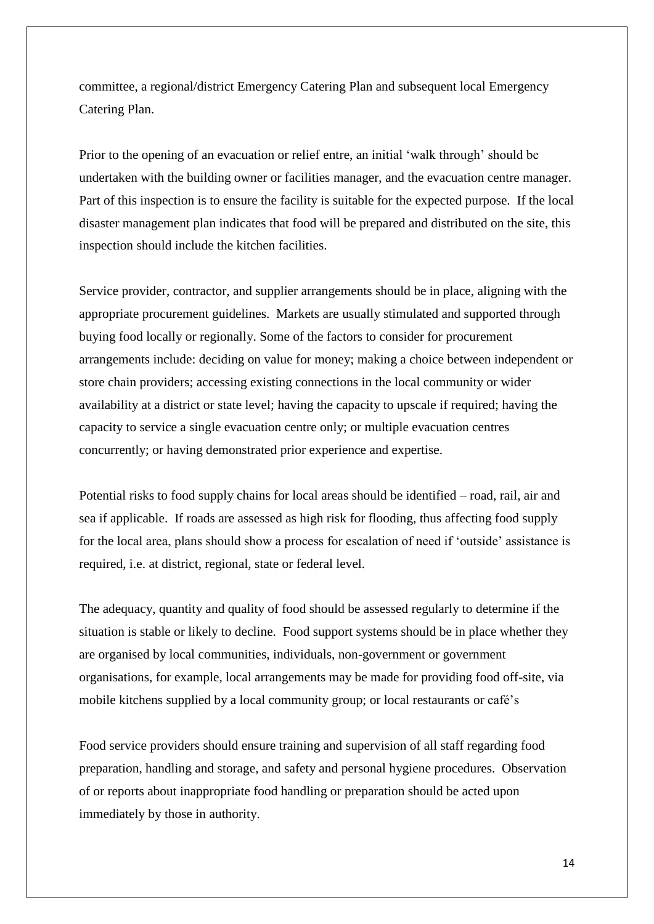committee, a regional/district Emergency Catering Plan and subsequent local Emergency Catering Plan.

Prior to the opening of an evacuation or relief entre, an initial 'walk through' should be undertaken with the building owner or facilities manager, and the evacuation centre manager. Part of this inspection is to ensure the facility is suitable for the expected purpose. If the local disaster management plan indicates that food will be prepared and distributed on the site, this inspection should include the kitchen facilities.

Service provider, contractor, and supplier arrangements should be in place, aligning with the appropriate procurement guidelines. Markets are usually stimulated and supported through buying food locally or regionally. Some of the factors to consider for procurement arrangements include: deciding on value for money; making a choice between independent or store chain providers; accessing existing connections in the local community or wider availability at a district or state level; having the capacity to upscale if required; having the capacity to service a single evacuation centre only; or multiple evacuation centres concurrently; or having demonstrated prior experience and expertise.

Potential risks to food supply chains for local areas should be identified – road, rail, air and sea if applicable. If roads are assessed as high risk for flooding, thus affecting food supply for the local area, plans should show a process for escalation of need if 'outside' assistance is required, i.e. at district, regional, state or federal level.

The adequacy, quantity and quality of food should be assessed regularly to determine if the situation is stable or likely to decline. Food support systems should be in place whether they are organised by local communities, individuals, non-government or government organisations, for example, local arrangements may be made for providing food off-site, via mobile kitchens supplied by a local community group; or local restaurants or café's

Food service providers should ensure training and supervision of all staff regarding food preparation, handling and storage, and safety and personal hygiene procedures. Observation of or reports about inappropriate food handling or preparation should be acted upon immediately by those in authority.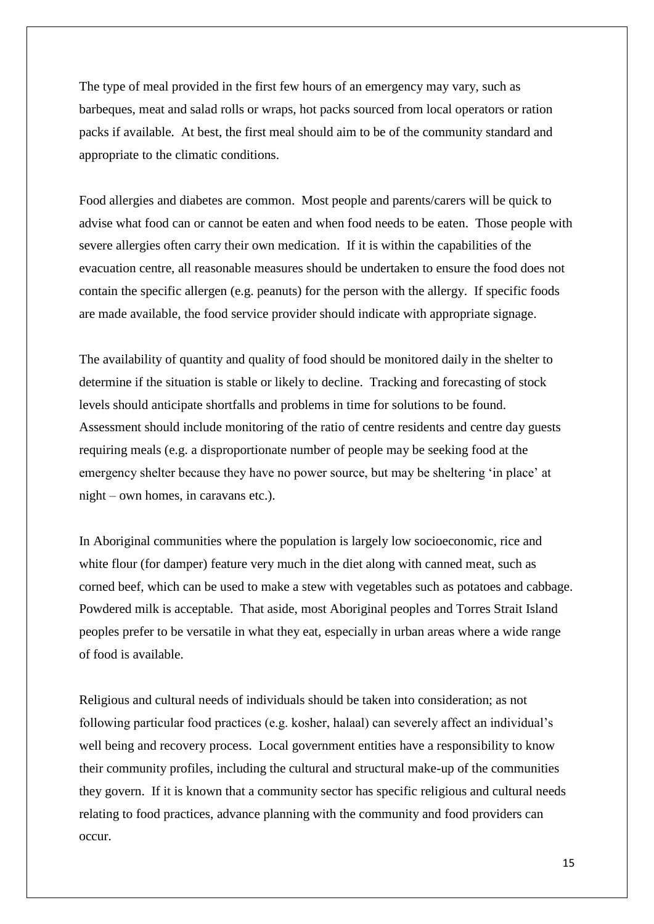The type of meal provided in the first few hours of an emergency may vary, such as barbeques, meat and salad rolls or wraps, hot packs sourced from local operators or ration packs if available. At best, the first meal should aim to be of the community standard and appropriate to the climatic conditions.

Food allergies and diabetes are common. Most people and parents/carers will be quick to advise what food can or cannot be eaten and when food needs to be eaten. Those people with severe allergies often carry their own medication. If it is within the capabilities of the evacuation centre, all reasonable measures should be undertaken to ensure the food does not contain the specific allergen (e.g. peanuts) for the person with the allergy. If specific foods are made available, the food service provider should indicate with appropriate signage.

The availability of quantity and quality of food should be monitored daily in the shelter to determine if the situation is stable or likely to decline. Tracking and forecasting of stock levels should anticipate shortfalls and problems in time for solutions to be found. Assessment should include monitoring of the ratio of centre residents and centre day guests requiring meals (e.g. a disproportionate number of people may be seeking food at the emergency shelter because they have no power source, but may be sheltering 'in place' at night – own homes, in caravans etc.).

In Aboriginal communities where the population is largely low socioeconomic, rice and white flour (for damper) feature very much in the diet along with canned meat, such as corned beef, which can be used to make a stew with vegetables such as potatoes and cabbage. Powdered milk is acceptable. That aside, most Aboriginal peoples and Torres Strait Island peoples prefer to be versatile in what they eat, especially in urban areas where a wide range of food is available.

Religious and cultural needs of individuals should be taken into consideration; as not following particular food practices (e.g. kosher, halaal) can severely affect an individual's well being and recovery process. Local government entities have a responsibility to know their community profiles, including the cultural and structural make-up of the communities they govern. If it is known that a community sector has specific religious and cultural needs relating to food practices, advance planning with the community and food providers can occur.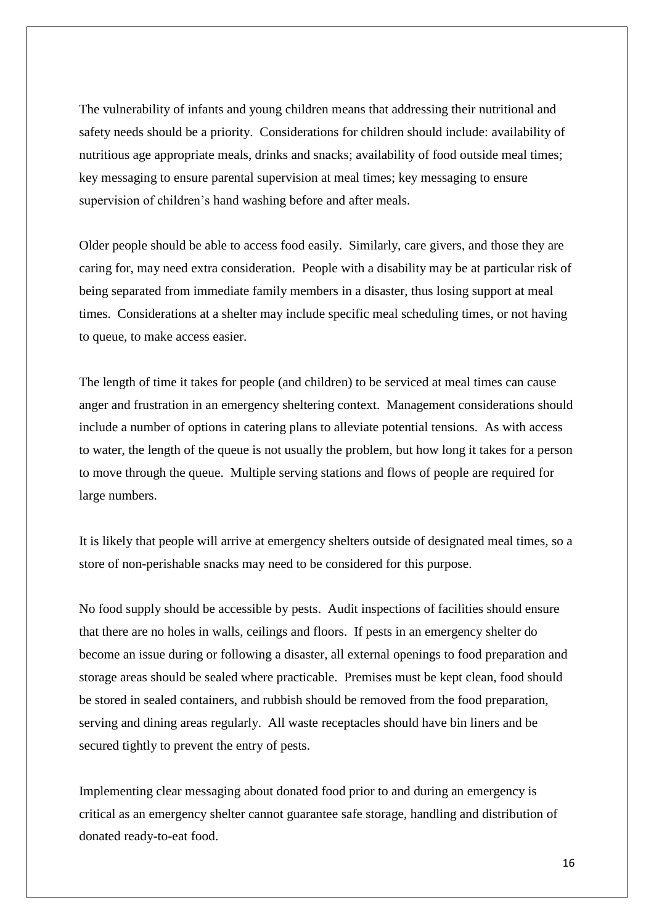The vulnerability of infants and young children means that addressing their nutritional and safety needs should be a priority. Considerations for children should include: availability of nutritious age appropriate meals, drinks and snacks; availability of food outside meal times; key messaging to ensure parental supervision at meal times; key messaging to ensure supervision of children's hand washing before and after meals.

Older people should be able to access food easily. Similarly, care givers, and those they are caring for, may need extra consideration. People with a disability may be at particular risk of being separated from immediate family members in a disaster, thus losing support at meal times. Considerations at a shelter may include specific meal scheduling times, or not having to queue, to make access easier.

The length of time it takes for people (and children) to be serviced at meal times can cause anger and frustration in an emergency sheltering context. Management considerations should include a number of options in catering plans to alleviate potential tensions. As with access to water, the length of the queue is not usually the problem, but how long it takes for a person to move through the queue. Multiple serving stations and flows of people are required for large numbers.

It is likely that people will arrive at emergency shelters outside of designated meal times, so a store of non-perishable snacks may need to be considered for this purpose.

No food supply should be accessible by pests. Audit inspections of facilities should ensure that there are no holes in walls, ceilings and floors. If pests in an emergency shelter do become an issue during or following a disaster, all external openings to food preparation and storage areas should be sealed where practicable. Premises must be kept clean, food should be stored in sealed containers, and rubbish should be removed from the food preparation, serving and dining areas regularly. All waste receptacles should have bin liners and be secured tightly to prevent the entry of pests.

Implementing clear messaging about donated food prior to and during an emergency is critical as an emergency shelter cannot guarantee safe storage, handling and distribution of donated ready-to-eat food.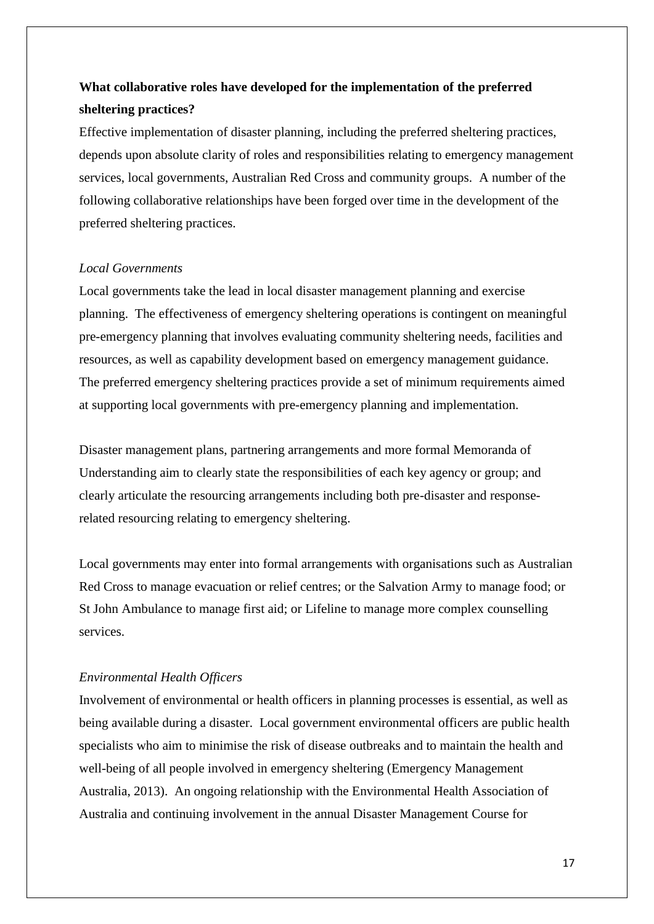# **What collaborative roles have developed for the implementation of the preferred sheltering practices?**

Effective implementation of disaster planning, including the preferred sheltering practices, depends upon absolute clarity of roles and responsibilities relating to emergency management services, local governments, Australian Red Cross and community groups. A number of the following collaborative relationships have been forged over time in the development of the preferred sheltering practices.

### *Local Governments*

Local governments take the lead in local disaster management planning and exercise planning. The effectiveness of emergency sheltering operations is contingent on meaningful pre-emergency planning that involves evaluating community sheltering needs, facilities and resources, as well as capability development based on emergency management guidance. The preferred emergency sheltering practices provide a set of minimum requirements aimed at supporting local governments with pre-emergency planning and implementation.

Disaster management plans, partnering arrangements and more formal Memoranda of Understanding aim to clearly state the responsibilities of each key agency or group; and clearly articulate the resourcing arrangements including both pre-disaster and responserelated resourcing relating to emergency sheltering.

Local governments may enter into formal arrangements with organisations such as Australian Red Cross to manage evacuation or relief centres; or the Salvation Army to manage food; or St John Ambulance to manage first aid; or Lifeline to manage more complex counselling services.

## *Environmental Health Officers*

Involvement of environmental or health officers in planning processes is essential, as well as being available during a disaster. Local government environmental officers are public health specialists who aim to minimise the risk of disease outbreaks and to maintain the health and well-being of all people involved in emergency sheltering (Emergency Management Australia, 2013). An ongoing relationship with the Environmental Health Association of Australia and continuing involvement in the annual Disaster Management Course for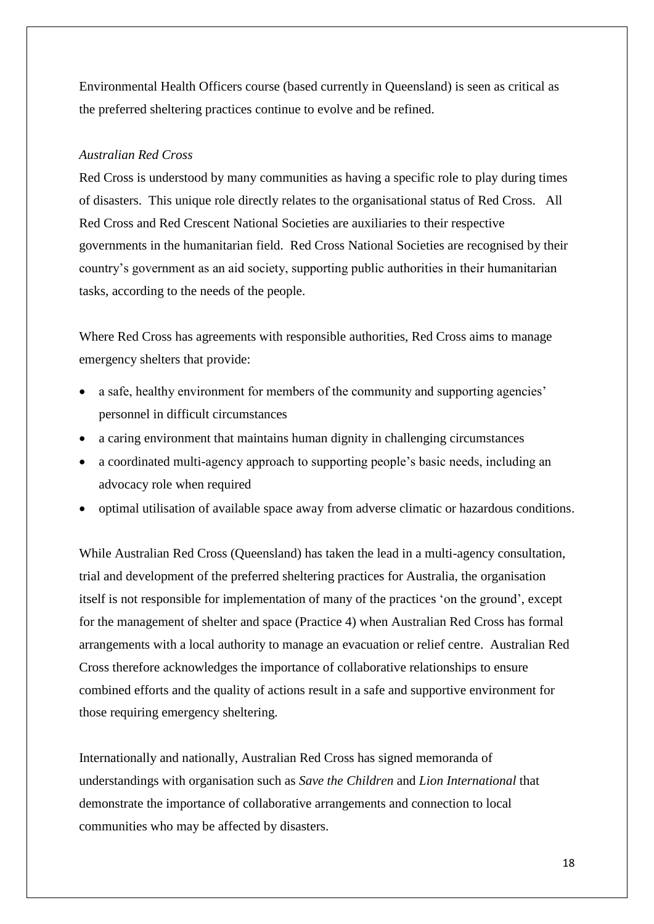Environmental Health Officers course (based currently in Queensland) is seen as critical as the preferred sheltering practices continue to evolve and be refined.

### *Australian Red Cross*

Red Cross is understood by many communities as having a specific role to play during times of disasters. This unique role directly relates to the organisational status of Red Cross. All Red Cross and Red Crescent National Societies are auxiliaries to their respective governments in the humanitarian field. Red Cross National Societies are recognised by their country's government as an aid society, supporting public authorities in their humanitarian tasks, according to the needs of the people.

Where Red Cross has agreements with responsible authorities, Red Cross aims to manage emergency shelters that provide:

- a safe, healthy environment for members of the community and supporting agencies' personnel in difficult circumstances
- a caring environment that maintains human dignity in challenging circumstances
- a coordinated multi-agency approach to supporting people's basic needs, including an advocacy role when required
- optimal utilisation of available space away from adverse climatic or hazardous conditions.

While Australian Red Cross (Queensland) has taken the lead in a multi-agency consultation, trial and development of the preferred sheltering practices for Australia, the organisation itself is not responsible for implementation of many of the practices 'on the ground', except for the management of shelter and space (Practice 4) when Australian Red Cross has formal arrangements with a local authority to manage an evacuation or relief centre. Australian Red Cross therefore acknowledges the importance of collaborative relationships to ensure combined efforts and the quality of actions result in a safe and supportive environment for those requiring emergency sheltering.

Internationally and nationally, Australian Red Cross has signed memoranda of understandings with organisation such as *Save the Children* and *Lion International* that demonstrate the importance of collaborative arrangements and connection to local communities who may be affected by disasters.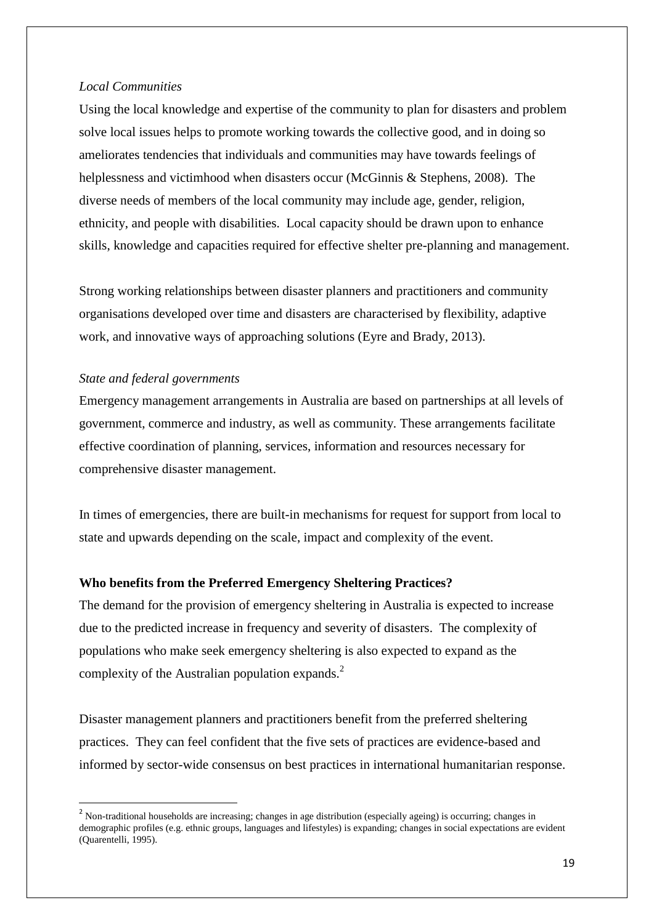#### *Local Communities*

Using the local knowledge and expertise of the community to plan for disasters and problem solve local issues helps to promote working towards the collective good, and in doing so ameliorates tendencies that individuals and communities may have towards feelings of helplessness and victimhood when disasters occur (McGinnis & Stephens, 2008). The diverse needs of members of the local community may include age, gender, religion, ethnicity, and people with disabilities. Local capacity should be drawn upon to enhance skills, knowledge and capacities required for effective shelter pre-planning and management.

Strong working relationships between disaster planners and practitioners and community organisations developed over time and disasters are characterised by flexibility, adaptive work, and innovative ways of approaching solutions (Eyre and Brady, 2013).

### *State and federal governments*

**.** 

Emergency management arrangements in Australia are based on partnerships at all levels of government, commerce and industry, as well as community. These arrangements facilitate effective coordination of planning, services, information and resources necessary for comprehensive disaster management.

In times of emergencies, there are built-in mechanisms for request for support from local to state and upwards depending on the scale, impact and complexity of the event.

### **Who benefits from the Preferred Emergency Sheltering Practices?**

The demand for the provision of emergency sheltering in Australia is expected to increase due to the predicted increase in frequency and severity of disasters. The complexity of populations who make seek emergency sheltering is also expected to expand as the complexity of the Australian population expands.<sup>2</sup>

Disaster management planners and practitioners benefit from the preferred sheltering practices. They can feel confident that the five sets of practices are evidence-based and informed by sector-wide consensus on best practices in international humanitarian response.

<sup>&</sup>lt;sup>2</sup> Non-traditional households are increasing; changes in age distribution (especially ageing) is occurring; changes in demographic profiles (e.g. ethnic groups, languages and lifestyles) is expanding; changes in social expectations are evident (Quarentelli, 1995).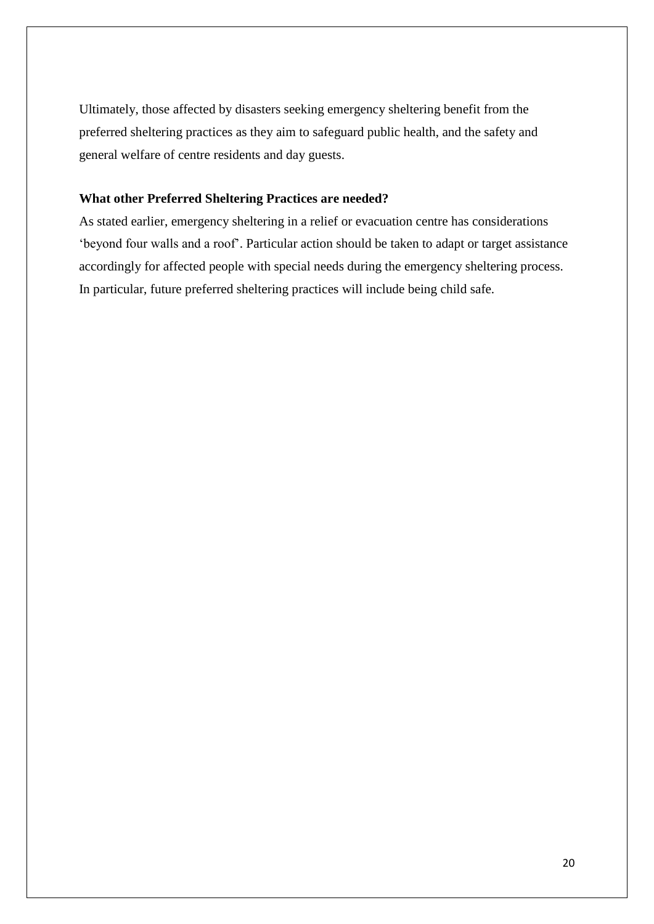Ultimately, those affected by disasters seeking emergency sheltering benefit from the preferred sheltering practices as they aim to safeguard public health, and the safety and general welfare of centre residents and day guests.

# **What other Preferred Sheltering Practices are needed?**

As stated earlier, emergency sheltering in a relief or evacuation centre has considerations 'beyond four walls and a roof'. Particular action should be taken to adapt or target assistance accordingly for affected people with special needs during the emergency sheltering process. In particular, future preferred sheltering practices will include being child safe.